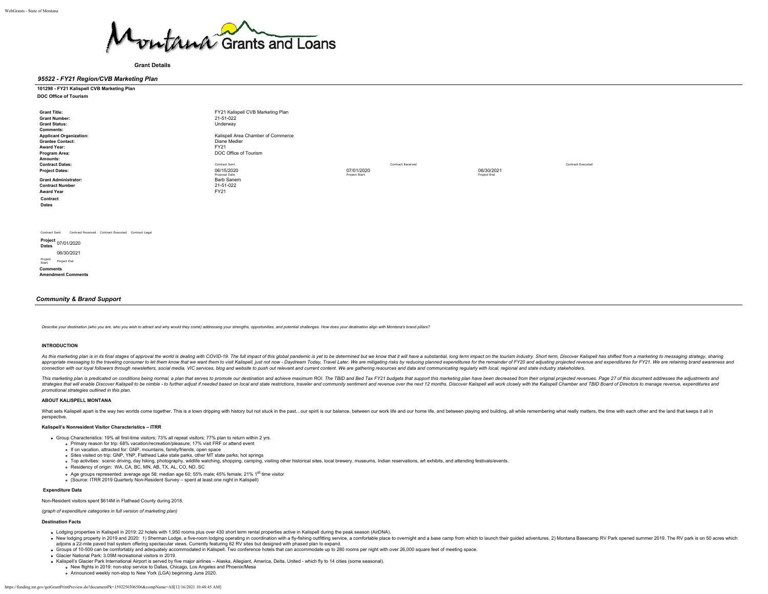

# **Grant Details**

## *95522 - FY21 Region/CVB Marketing Plan*

| 101298 - FY21 Kalispell CVB Marketing Plan |  |
|--------------------------------------------|--|
| <b>DOC Office of Tourism</b>               |  |

| <b>Grant Title:</b><br><b>Grant Number:</b><br><b>Grant Status:</b><br><b>Comments:</b><br><b>Applicant Organization:</b><br><b>Grantee Contact:</b><br>Award Year:<br>Program Area:<br>Amounts:<br><b>Contract Dates:</b><br><b>Project Dates:</b><br><b>Grant Administrator:</b><br><b>Contract Number</b><br><b>Award Year</b><br>Contract<br>Dates | FY21 Kalispell CVB Marketing Plan<br>21-51-022<br>Underway<br>Kalispell Area Chamber of Commerce<br>Diane Medler<br>FY21<br>DOC Office of Tourism<br>Contract Sent<br>06/15/2020<br>Proposal Date<br><b>Barb Sanem</b><br>21-51-022<br>FY21 | Contract Received<br>07/01/2020<br>Project Start | 06/30/2021<br>Project End | Contract Executed |
|--------------------------------------------------------------------------------------------------------------------------------------------------------------------------------------------------------------------------------------------------------------------------------------------------------------------------------------------------------|---------------------------------------------------------------------------------------------------------------------------------------------------------------------------------------------------------------------------------------------|--------------------------------------------------|---------------------------|-------------------|
| Contract Received Contract Executed Contract Legal<br>Contract Sent<br>Project 07/01/2020<br>Dates<br>06/30/2021<br>Project<br>Start<br>Project End<br><b>Comments</b><br><b>Amendment Comments</b>                                                                                                                                                    |                                                                                                                                                                                                                                             |                                                  |                           |                   |

# *Community & Brand Support*

Describe your destination (who you are, who you wish to attract and why would they come) addressing your strengths, opportunities, and potential challenges. How does your destination align with Montana's brand pillars?

#### **INTRODUCTION**

As this marketing plan is in its final stages of approval the world is dealing with COVID-19. The full impact of this global pandemic is yet to be determined but we know that it will have a substantial, long term impact on appropriate messaging to the traveling consumer to let them know that we want them to visit Kalispell, just not now - Daydream Today. Travel Later. We are miligating risks by reducing planned expenditures for the remainder connection with our loyal followers through newsletters, social media, VIC services, blog and website to push out relevant and current content. We are gathering resources and data and communicating requiarly with local, re

This marketing plan is predicated on conditions being normal, a plan that serves to promote our destination and achieve maximum ROI. The TBID and Bed Tax FY21 budgets that support this marketing plan have been decreased fr strategies that will enable Discover Kalispell to be nimble - to further adjust if needed based on local and state restrictions, traveler and community sentiment and revenue over the next 12 months. Discover Kalispell will *promotional strategies outlined in this plan.*

## **ABOUT KALISPELL MONTANA**

What sets Kalispell apart is the way two worlds come together. This is a town dripping with history but not stuck in the past ... our spirit is our balance, between our work life and our home life, and between playing and perspective.

#### **Kalispell's Nonresident Visitor Characteristics – ITRR**

- Group Characteristics: 19% all first-time visitors; 73% all repeat visitors; 77% plan to return within 2 yrs.
	- Primary reason for trip: 68% vacation/recreation/pleasure; 17% visit FRF or attend event
	- If on vacation, attracted for: GNP, mountains, family/friends, open space
	- Sites visited on trip: GNP, YNP, Flathead Lake state parks, other MT state parks; hot springs
	- Top activities: scenic driving, day hiking, photography, wildlife watching, shopping, camping, visiting other historical sites, local brewery, museums, Indian reservations, art exhibits, and attending festivals/events.
	- Residency of origin: WA, CA, BC, MN, AB, TX, AL, CO, ND, SC
	- o Age groups represented: average age 58; median age 60; 55% male; 45% female; 21% 1st time visitor
	- (Source: ITRR 2019 Quarterly Non-Resident Survey spent at least one night in Kalispell)

#### **Expenditure Data**

Non-Resident visitors spent \$614M in Flathead County during 2018.

*(graph of expenditure categories in full version of marketing plan)*

# **Destination Facts**

- Lodging properties in Kalispell in 2019: 22 hotels with 1,950 rooms plus over 430 short term rental properties active in Kalispell during the peak season (AirDNA).
- . New lodging property in 2019 and 2020: 1) Sherman Lodge, a five-room lodging operating in coordination with a fly-fishing outfitting service, a comfortable place to overnight and a base camp from which to launch their gu adjoins a 22-mile paved trail system offering spectacular views. Currently featuring 62 RV sites but designed with phased plan to expand.
- . Groups of 10-500 can be comfortably and adequately accommodated in Kalispell. Two conference hotels that can accommodate up to 280 rooms per night with over 26,000 square feet of meeting space.
- Glacier National Park: 3.05M recreational visitors in 2019.
- Kalispell's Glacier Park International Airport is served by five major airlines Alaska, Allegiant, America, Delta, United which fly to 14 cities (some seasonal).
- New flights in 2019: non-stop service to Dallas, Chicago, Los Angeles and Phoenix/Mesa Announced weekly non-stop to New York (LGA) beginning June 2020.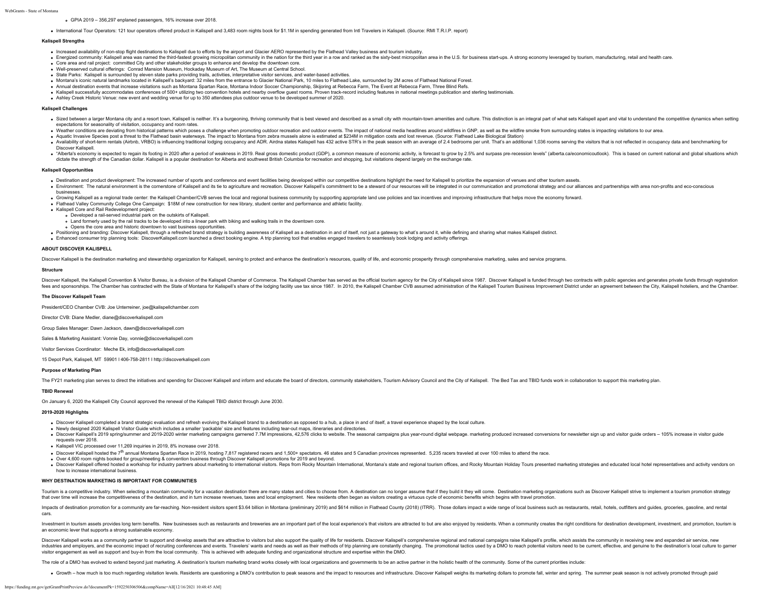- GPIA 2019 356,297 enplaned passengers, 16% increase over 2018.
- International Tour Operators: 121 tour operators offered product in Kalispell and 3,483 room nights book for \$1.1M in spending generated from Intl Travelers in Kalispell. (Source: RMI T.R.I.P. report)

#### **Kalispell Strengths**

- Increased availability of non-stop flight destinations to Kalispell due to efforts by the airport and Glacier AERO represented by the Flathead Valley business and tourism industry.
- . Energized community: Kalispell area was named the third-fastest growing micropolitan community in the nation for the third-feature in the extra-section and reality best micropolitan area in the sixty-best micropolitan ar
- Core area and rail project: committed City and other stakeholder groups to enhance and develop the downtown core.
- Well-preserved cultural offerings: Conrad Mansion Museum, Hockaday Museum of Art, The Museum at Central School.
- State Parks: Kalispell is surrounded by eleven state parks providing trails, activities, interpretative visitor services, and water-based activities.
- Montana's iconic natural landmarks located in Kalispell's backyard: 32 miles from the entrance to Glacier National Park, 10 miles to Flathead Lake, surrounded by 2M acres of Flathead National Forest.
- Annual destination events that increase visitations such as Montana Spartan Race, Montana Indoor Soccer Championship, Skijoring at Rebecca Farm, The Event at Rebecca Farm, Three Blind Refs.
- Kalispell successfully accommodates conferences of 500+ utilizing two convention hotels and nearby overflow guest rooms. Proven track-record including features in national meetings publication and sterling testimonials.
- Ashley Creek Historic Venue: new event and wedding venue for up to 350 attendees plus outdoor venue to be developed summer of 2020.

# **Kalispell Challenges**

- . Sized between a larger Montana city and a resort town, Kalispell is neither. It's a burgeoning, thriving community that is best viewed and described as a small city with mountain-town amenities and culture. This distinct expectations for seasonality of visitation, occupancy and room rates.
- . Weather conditions are deviating from historical patterns which poses a challenge when promoting outdoor recreation and outdoor events. The impact of national media headlines around wildfires in GNP, as well as the wildf
- . Aquatic Invasive Species post a threat to the Flathead basin waterways. The impact to Montana from zebra mussels alone is estimated at \$234M in mitigation costs and lost revenue. (Source: Flathead Lake Biological Station
- . Availability of short-term rentals (Airbnb, VRBO) is influencing traditional lodging occupancy and ADR. Airdna states Kalispell has 432 active STR's in the peak season with an average of 2.4 bedrooms per unit. That's an Discover Kalispell.
- . "Alberta's economy is expected to regain its footing in 2020 after a period of weakness in 2019. Real gross domestic product (GDP), a common measure of economic activity, is forecast to grow by 2.5% and surpass pre-reces dictate the strength of the Canadian dollar. Kalispell is a popular destination for Alberta and southwest British Columbia for recreation and shopping, but visitations depend largely on the exchange rate.

#### **Kalispell Opportunities**

- . Destination and product development: The increased number of sports and conference and event facilities being developed within our competitive destinations highlight the need for Kalispell to prioritize the expansion of
- Environment The natural environment is the connection of Kalispell and its lie to agriculture to discuss of the connection Discover Kalispell's commitment to be a steward of our resources will be integrated in our commun businesses.
- . Growing Kalispell as a regional trade center: the Kalispell Chamber/CVB serves the local and regional business community by supporting appropriate land use policies and tax incentives and improving infrastructure that he
- Flathead Valley Community College One Campaign: \$18M of new construction for new library, student center and performance and athletic facility.
- Kalispell Core and Rail Redevelopment project:
- Developed a rail-served industrial park on the outskirts of Kalispell.
- Land formerly used by the rail tracks to be developed into a linear park with biking and walking trails in the downtown core.
- Opens the core area and historic downtown to vast business opportunities.
- . Positioning and branding: Discover Kalispell, through a refreshed brand strategy is building awareness of Kalispell as a destination in and of itself, not just a gateway to what's around it, while defining and sharing wh
- Enhanced consumer trip planning tools: DiscoverKalispell.com launched a direct booking engine. A trip planning tool that enables engaged travelers to seamlessly book lodging and activity offerings.

## **ABOUT DISCOVER KALISPELL**

Discover Kalispell is the destination marketing and stewardship organization for Kalispell, serving to protect and enhance the destination's resources, quality of life, and economic prosperity through comprehensive marketi

#### **Structure**

Discover Kalispell, the Kalispell Convention & Visitor Bureau, is a division of the Kalispell Chamber of Commerce. The Kalispell Chamber has served as the official tourism agency for the City of Kalispell since 1987. Disco fees and sponsorships. The Chamber has contracted with the State of Montana for Kalispell's share of the lodging facility use tax since 1987. In 2010, the Kalispell Chamber CVB assumed administration of the Kalispell Touri

### **The Discover Kalispell Team**

President/CEO Chamber CVB: Joe Unterreiner, [joe@kalispellchamber.com](mailto:joe@kalispellchamber.com)

Director CVB: Diane Medler, [diane@discoverkalispell.com](mailto:diane@discoverkalispell.com)

Group Sales Manager: Dawn Jackson, [dawn@discoverkalispell.com](mailto:dawn@discoverkalispell.com)

Sales & Marketing Assistant: Vonnie Day, [vonnie@discoverkalispell.com](mailto:vonnie@discoverkalispell.com)

Visitor Services Coordinator: Meche Ek, [info@discoverkalispell.com](mailto:info@discoverkalispell.com)

15 Depot Park, Kalispell, MT 59901 l 406-758-2811 l [http://discoverkalispell.com](http://discoverkalispell.com/)

#### **Purpose of Marketing Plan**

The FY21 marketing plan serves to direct the initiatives and spending for Discover Kalispell and inform and educate the board of directors, community stakeholders, Tourism Advisory Council and the City of Kalispell. The Be

# **TBID Renewal**

On January 6, 2020 the Kalispell City Council approved the renewal of the Kalispell TBID district through June 2030.

#### **2019-2020 Highlights**

- . Discover Kalispell completed a brand strategic evaluation and refresh evolving the Kalispell brand to a destination as opposed to a hub, a place in and of itself, a travel experience shaped by the local culture.
- Newly designed 2020 Kalispell Visitor Guide which includes a smaller 'packable' size and features including tear-out maps, itineraries and directories.
- . Discover Kalispell's 2019 spring/summer and 2019-2020 winter marketing campaigns garnered 7.7M impressions, 42,576 clicks to website. The seasonal campaigns bus year-round digital webpage. marketing produced increased co requests over 2018.
- Kalispell VIC processed over 11,269 inquiries in 2019, 8% increase over 2018.
- . Discover Kalispell hosted the 7<sup>th</sup> annual Montana Spartan Race in 2019, hosting 7,817 registered racers and 1,500+ spectators. 46 states and 5 Canadian provinces represented. 5,235 racers traveled at over 100 miles to a
- Over 4,600 room nights booked for group/meeting & convention business through Discover Kalispell promotions for 2019 and beyond.
- . Discover Kalispell offered hosted a workshop for industry partners about marketing to international visitors. Reps from Rocky Mountain International, Montana's state and regional tourism offices, and Rocky Mountain Holid how to increase international business.

# **WHY DESTINATION MARKETING IS IMPORTANT FOR COMMUNITIES**

Tourism is a competitive industry. When selection a mountain community for a vacation destination there are many states and cities to choose from A destination can no longer assume that if they will come. Destination marke that over time will increase the competitiveness of the destination, and in turn increase revenues, taxes and local employment. New residents often began as visitors creating a virtuous cycle of economic benefits which beg

Impacts of destination promotion for a community are far-reaching. Non-resident visitors spent \$3.64 billion in Montana (preliminary 2019) and \$614 million in Flathead County (2018) (ITRR). Those dollars impact a wide rang cars.

Investment in tourism assets provides long term benefits. New businesses such as restaurants and breweries are an important part of the local experience's that visitors are attracted to but are also enjoyed by residents. W an economic lever that supports a strong sustainable economy.

Discover Kalispell works as a community partner to support and develop assets that are attractive to visitors but also support the quality of life for residents. Discover Kalispell's comprehensive regional and national cam industries and employers, and the economic impact of recruiting conferences and events. Travelers' wants and needs as well as their methods of trip planning are constantly changing. The promotional tactics used by a DMO to visitor engagement as well as support and buy-in from the local community. This is achieved with adequate funding and organizational structure and expertise within the DMO.

The role of a DMO has evolved to extend beyond just marketing. A destination's tourism marketing brand works closely with local organizations and governments to be an active partner in the holistic health of the community.

. Growth - how much is too much regarding visitation levels. Residents are questioning a DMO's contribution to peak seasons and the impact to resources and infrastructure. Discover Kalispell weighs its marketing dollars to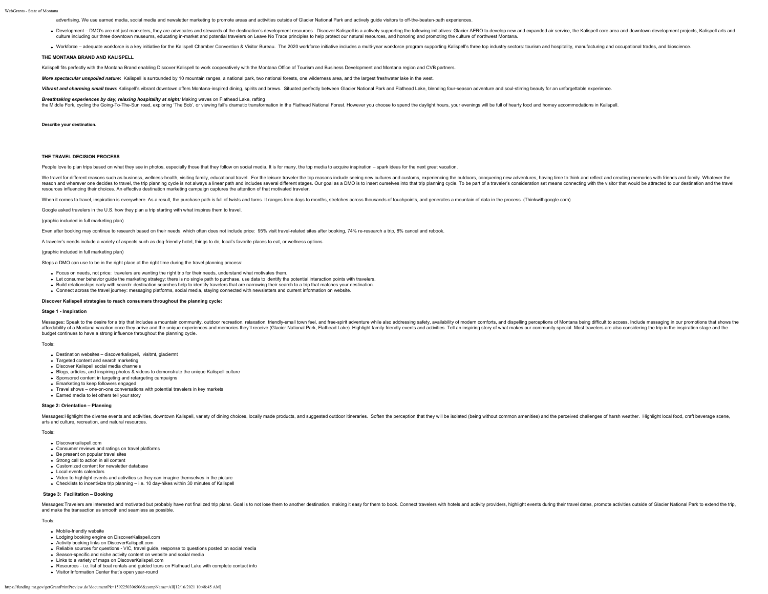WebGrants - State of Montana

advertising. We use earned media, social media and newsletter marketing to promote areas and activities outside of Glacier National Park and actively guide visitors to off-the-beaten-path experiences.

. Development - DMO's are not just marketers, they are advocates and stewards of the destination's development resources. Discover Kalispell is a actively supporting the following initiatives: Glacier AFRO to develop mew a culture including our three downtown museums, educating in-market and potential travelers on Leave No Trace principles to help protect our natural resources, and honoring and promoting the culture of northwest Montana.

. Workforce - adequate workforce is a key initiative for the Kalispell Chamber Convention & Visitor Bureau. The 2020 workforce initiative includes a multi-year workforce program supporting Kalispell's three top industry se

# **THE MONTANA BRAND AND KALISPELL**

Kalispell fits perfectly with the Montana Brand enabling Discover Kalispell to work cooperatively with the Montana Office of Tourism and Business Development and Montana region and CVB partners.

More spectacular unspoiled nature: Kalispell is surrounded by 10 mountain ranges, a national park, two national forests, one wilderness area, and the largest freshwater lake in the west.

Vibrant and charming small town: Kalispell's vibrant downtown offers Montana-inspired dining, spirits and brews. Situated perfectly between Glacier National Park and Flathead Lake, blending four-season adventure and soul-s

### *Breathtaking experiences by day, relaxing hospitality at night:* Making waves on Flathead Lake, rafting

the Middle Fork, cycling the Going-To-The-Sun road, exploring 'The Bob', or viewing fall's dramatic transformation in the Flathead National Forest. However you choose to spend the daylight hours, your evenings will be full

**Describe your destination.**

#### **THE TRAVEL DECISION PROCESS**

People love to plan trips based on what they see in photos, especially those that they follow on social media. It is for many, the top media to acquire inspiration – spark ideas for the next great vacation.

We travel for different reasons such as business, wellness-health, visiting family, educational travel. For the leisure traveler the top reasons include seeing new cultures and customs, experiencing the outdoors, conquerin reason and wherever one decides to travel, the trip planning cycle is not always a linear path and includes several different stages. Our goal as a DMO is to insert ourselves into that trip planning cycle. To be part of a resources influencing their choices. An effective destination marketing campaign captures the attention of that motivated traveler.

When it comes to travel, inspiration is everywhere. As a result, the purchase path is full of twists and turns. It ranges from days to months, stretches across thousands of touchpoints, and generates a mountain of data in

Google asked travelers in the U.S. how they plan a trip starting with what inspires them to travel.

(graphic included in full marketing plan)

Even after booking may continue to research based on their needs, which often does not include price: 95% visit travel-related sites after booking, 74% re-research a trip, 8% cancel and rebook.

A traveler's needs include a variety of aspects such as dog-friendly hotel, things to do, local's favorite places to eat, or wellness options.

(graphic included in full marketing plan)

Steps a DMO can use to be in the right place at the right time during the travel planning process:

- Focus on needs, not price: travelers are wanting the right trip for their needs, understand what motivates them.
- Let consumer behavior guide the marketing strategy: there is no single path to purchase, use data to identify the potential interaction points with travelers.
- Build relationships early with search: destination searches help to identify travelers that are narrowing their search to a trip that matches your destination.
- Connect across the travel journey: messaging platforms, social media, staying connected with newsletters and current information on website.

### **Discover Kalispell strategies to reach consumers throughout the planning cycle:**

#### **Stage 1 - Inspiration**

Messages: Speak to the desire for a trip that includes a mountain community, outdoor recreation, relaxation, friendly-small town feel, and free-spirit adventure while also addressing safety, availability of modern comforts affordability of a Montana vacation once they arrive and the unique experiences and memories they'll receive (Glacier National Park, Flathead Lake). Highlight family-friendly events and activities. Tell an inspiring story budget continues to have a strong influence throughout the planning cycle.

Tools:

- Destination websites discoverkalispell, visitmt, glaciermt
- Targeted content and search marketing
- Discover Kalispell social media channels
- Blogs, articles, and inspiring photos & videos to demonstrate the unique Kalispell culture
- Sponsored content in targeting and retargeting campaigns
- Emarketing to keep followers engaged
- Travel shows one-on-one conversations with potential travelers in key markets
- Earned media to let others tell your story

# **Stage 2: Orientation – Planning**

Messages: Highlight the diverse events and activities, downtown Kalispell, variety of dining choices, locally made products, and suggested outdoor itineraries. Soften the perception that they will be isolated (being withou arts and culture, recreation, and natural resources.

#### Tools:

- Discoverkalispell.com
- Consumer reviews and ratings on travel platforms **Be present on popular travel sites**
- 
- Strong call to action in all content Customized content for newsletter database
- Local events calendars
- Video to highlight events and activities so they can imagine themselves in the picture
- Checklists to incentivize trip planning i.e. 10 day-hikes within 30 minutes of Kalispell

# **Stage 3: Facilitation – Booking**

Messages:Travelers are interested and motivated but probably have not finalized trip plans. Goal is to not lose them to another destination, making it easy for them to book. Connect travelers with hotels and activity provi and make the transaction as smooth and seamless as possible.

Tools:

- Mobile-friendly website
- Lodging booking engine on DiscoverKalispell.com
- Activity booking links on DiscoverKalispell.com
- Reliable sources for questions VIC, travel guide, response to questions posted on social media
- Season-specific and niche activity content on website and social media
- Links to a variety of maps on DiscoverKalispell.com
- Resources i.e. list of boat rentals and guided tours on Flathead Lake with complete contact info
- Visitor Information Center that's open year-round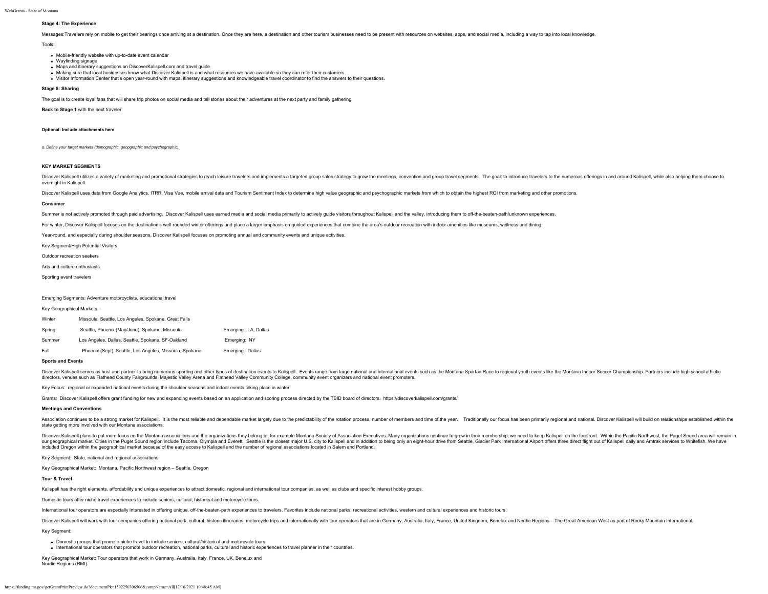# **Stage 4: The Experience**

Messages:Travelers rely on mobile to get their bearings once arriving at a destination. Once they are here, a destination and other tourism businesses need to be present with resources on websites, apps, and social media,

Tools:

- Mobile-friendly website with up-to-date event calendar
- Wayfinding signage
- Maps and itinerary suggestions on DiscoverKalispell.com and travel guide
- Making sure that local businesses know what Discover Kalispell is and what resources we have available so they can refer their customers.
- Visitor Information Center that's open year-round with maps, itinerary suggestions and knowledgeable travel coordinator to find the answers to their questions.

#### **Stage 5: Sharing**

The goal is to create loyal fans that will share trip photos on social media and tell stories about their adventures at the next party and family gathering.

**Back to Stage 1** with the next traveler

#### **Optional: Include attachments here**

*a. Define your target markets (demographic, geopgraphic and psychographic).*

## **KEY MARKET SEGMENTS**

Discover Kalispell utilizes a variety of marketing and promotional strategies to reach leisure travelers and implements a targeted group sales strategy to grow the meetings, convention and group travel segments. The goal: overnight in Kalispell.

Discover Kalispell uses data from Google Analytics, ITRR, Visa Vue, mobile arrival data and Tourism Sentiment Index to determine high value geographic and psychographic markets from which to obtain the highest ROI from mar

#### **Consumer**

Summer is not actively promoted through paid advertising. Discover Kalispell uses earned media and social media primarily to actively quide visitors throughout Kalispell and the valley, introducing them to off-the-beaten-p

For winter, Discover Kalispell focuses on the destination's well-rounded winter offerings and place a larger emphasis on guided experiences that combine the area's outdoor recreation with indoor amenities like museums, wel

Year-round, and especially during shoulder seasons, Discover Kalispell focuses on promoting annual and community events and unique activities.

Key Segment/High Potential Visitors:

Outdoor recreation seekers

Arts and culture enthusiasts

Sporting event travelers

#### Emerging Segments: Adventure motorcyclists, educational travel

Key Geographical Markets –

| Winter | Missoula, Seattle, Los Angeles, Spokane, Great Falls    |                      |
|--------|---------------------------------------------------------|----------------------|
| Spring | Seattle, Phoenix (May/June), Spokane, Missoula          | Emerging: LA, Dallas |
| Summer | Los Angeles, Dallas, Seattle, Spokane, SF-Oakland       | Emeraina: NY         |
| Fall   | Phoenix (Sept), Seattle, Los Angeles, Missoula, Spokane | Emerging: Dallas     |

### **Sports and Events**

Discover Kalispell serves as host and partner to bring numerous sporting and other types of destination events to Kalispell. Events range from large national and international events such as the Montana Spartan Race to reg directors, venues such as Flathead County Fairgrounds, Majestic Valley Arena and Flathead Valley Community College, community event organizers and national event promoters.

Key Focus: regional or expanded national events during the shoulder seasons and indoor events taking place in winter.

Grants: Discover Kalispell offers grant funding for new and expanding events based on an application and scoring process directed by the TBID board of directors. https://discoverkalispell.com/grants/

# **Meetings and Conventions**

Association continues to be a strong market for Kalispell. It is the most reliable and dependable market largely due to the predictability of the rotation process, number of members and time of the year. Traditionally our state getting more involved with our Montana associations.

Discover Kalispell plans to put more focus on the Montana associations and the organizations they belong to, for example Montana Society of Association Executives. Many organizations continue to grow in their membership, w our geographical market. Cities in the Puget Sound region include Tacoma, Olympia and Everett. Seattle is the closest major U.S. city to Kalispell and in addition to being only an eight-hour drive from Seattle, Glacier Par included Oregon within the geographical market because of the easy access to Kalispell and the number of regional associations located in Salem and Portland.

#### Key Segment: State, national and regional associations

Key Geographical Market: Montana, Pacific Northwest region – Seattle, Oregon

# **Tour & Travel**

Kalispell has the right elements, affordability and unique experiences to attract domestic, regional and international tour companies, as well as clubs and specific interest hobby groups.

Domestic tours offer niche travel experiences to include seniors, cultural, historical and motorcycle tours.

International tour operators are especially interested in offering unique, off-the-beaten-path experiences to travelers. Favorites include national parks, recreational activities, western and cultural experiences and histo

Discover Kalispell will work with tour companies offering national park, cultural, historic itineraries, motorcycle trips and internationally with tour operators that are in Germany, Australia, Italy, France, United Kingdo

#### Key Segment:

- Domestic groups that promote niche travel to include seniors, cultural/historical and motorcycle tours.
- International tour operators that promote outdoor recreation, national parks, cultural and historic experiences to travel planner in their countries.

Key Geographical Market: Tour operators that work in Germany, Australia, Italy, France, UK, Benelux and Nordic Regions (RMI).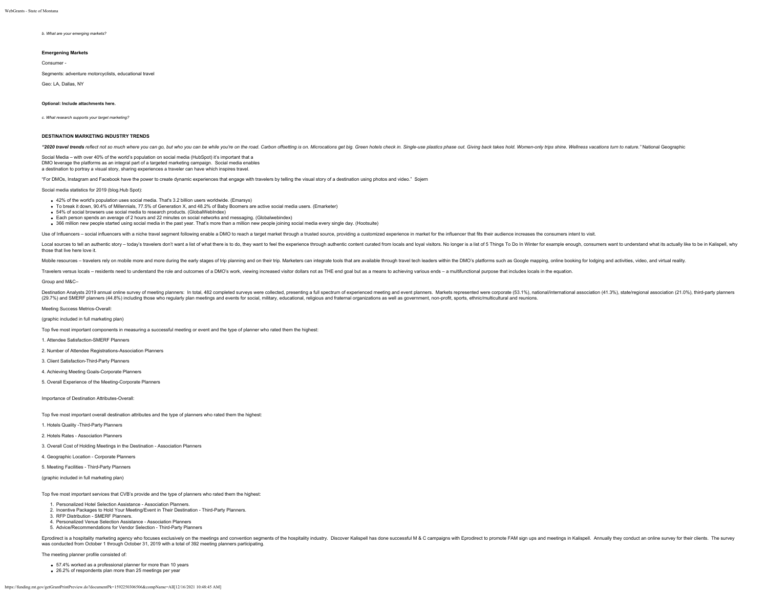*b. What are your emerging markets?*

#### **Emergening Markets**

Consumer -

Segments: adventure motorcyclists, educational travel

Geo: LA, Dallas, NY

#### **Optional: Include attachments here.**

*c. What research supports your target marketing?*

#### **DESTINATION MARKETING INDUSTRY TRENDS**

"2020 travel trends reflect not so much where you can go, but who you can be while you're on the road. Carbon offsetting is on. Microcations get big. Green hotels check in. Single-use plastics phase out. Giving back takes

Social Media – with over 40% of the world's population on social media (HubSpot) it's important that a DMO leverage the platforms as an integral part of a targeted marketing campaign. Social media enables a destination to portray a visual story, sharing experiences a traveler can have which inspires travel.

"For DMOs, Instagram and Facebook have the power to create dynamic experiences that engage with travelers by telling the visual story of a destination using photos and video." Sojern

Social media statistics for 2019 (blog.Hub Spot):

- 42% of the world's population uses social media. That's 3.2 billion users worldwide. [\(Emarsys](https://www.emarsys.com/resources/blog/top-5-social-media-predictions-2019/))
- To break it down, 90.4% of Millennials, 77.5% of Generation X, and 48.2% of Baby Boomers are active social media users. [\(Emarketer](https://www.emarketer.com/Chart/US-Social-Media-Users-by-Generation-2019-of-population/226029))
- 54% of social browsers use social media to research products. [\(GlobalWebIndex](https://blog.globalwebindex.com/chart-of-the-day/social-browsers-brand/))
- Each person spends an average of 2 hours and 22 minutes on social networks and messaging. [\(Globalwebindex](https://www.globalwebindex.com/hubfs/Downloads/Social-H2-2018-report.pdf))
- . 366 million new people started using social media in the past year. That's more than a million new people joining social media every single day. [\(Hootsuite](https://blog.hootsuite.com/simon-kemp-social-media/))

Use of Influencers - social influencers with a niche travel segment following enable a DMO to reach a target market through a trusted source, providing a customized experience in market for the influencer that fits their a

Local sources to tell an authentic story - today's travelers don't want a list of what there is to do, they want to feel the experience through authentic content curated from locals and loyal visitors. No longer is a list those that live here love it.

Mobile resources - travelers rely on mobile more and more during the early stages of trip planning and on their trip. Marketers can integrate tools that are available through travel tech leaders within the DMO's platforms

Travelers versus locals - residents need to understand the role and outcomes of a DMO's work, viewing increased visitor dollars not as THE end goal but as a means to achieving various ends - a multifunctional purpose that

Group and M&C–

Destination Analysts 2019 annual online survey of meeting planners: In total, 482 completed surveys were collected, presenting a full spectrum of experienced meeting and event planners. Markets represented were corporate ( (29.7%) and SMERF planners (44.8%) including those who regularly plan meetings and events for social, military, educational, religious and fraternal organizations as well as government, non-profit, sports, ethnic/multicult

Meeting Success Metrics-Overall:

(graphic included in full marketing plan)

Top five most important components in measuring a successful meeting or event and the type of planner who rated them the highest:

1. Attendee Satisfaction-SMERF Planners

2. Number of Attendee Registrations-Association Planners

- 3. Client Satisfaction-Third-Party Planners
- 4. Achieving Meeting Goals-Corporate Planners
- 5. Overall Experience of the Meeting-Corporate Planners

Importance of Destination Attributes-Overall:

Top five most important overall destination attributes and the type of planners who rated them the highest:

1. Hotels Quality -Third-Party Planners

2. Hotels Rates - Association Planners

3. Overall Cost of Holding Meetings in the Destination - Association Planners

4. Geographic Location - Corporate Planners

5. Meeting Facilities - Third-Party Planners

(graphic included in full marketing plan)

Top five most important services that CVB's provide and the type of planners who rated them the highest:

1. Personalized Hotel Selection Assistance - Association Planners.

2. Incentive Packages to Hold Your Meeting/Event in Their Destination - Third-Party Planners.

3. RFP Distribution - SMERF Planners.

4. Personalized Venue Selection Assistance - Association Planners

5. Advice/Recommendations for Vendor Selection - Third-Party Planners

Eprodirect is a hospitality marketing agency who focuses exclusively on the meetings and convention segments of the hospitality industry. Discover Kalispell has done successful M & C campaigns with Eprodirect to promote FA was conducted from October 1 through October 31, 2019 with a total of 392 meeting planners participating.

The meeting planner profile consisted of:

- 57.4% worked as a professional planner for more than 10 years
- 26.2% of respondents plan more than 25 meetings per year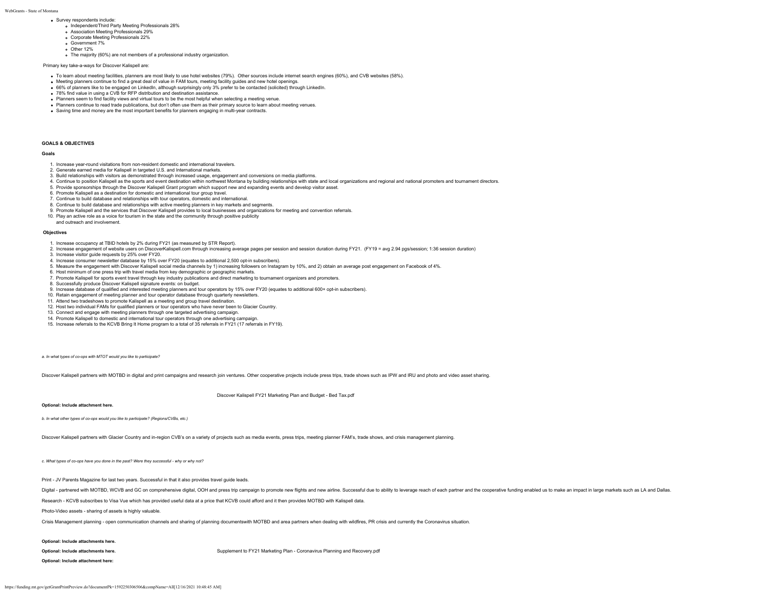- Survey respondents include:
	- o Independent/Third Party Meeting Professionals 28%
	- Association Meeting Professionals 29%
	- Corporate Meeting Professionals 22%
	- Government 7% Other 12%
	- The majority (60%) are not members of a professional industry organization.

Primary key take-a-ways for Discover Kalispell are:

- To learn about meeting facilities, planners are most likely to use hotel websites (79%). Other sources include internet search engines (60%), and CVB websites (58%).
- Meeting planners continue to find a great deal of value in FAM tours, meeting facility guides and new hotel openings.
- 66% of planners like to be engaged on LinkedIn, although surprisingly only 3% prefer to be contacted (solicited) through LinkedIn.
- 78% find value in using a CVB for RFP distribution and destination assistance.
- Planners seem to find facility views and virtual tours to be the most helpful when selecting a meeting venue.
- Planners continue to read trade publications, but don't often use them as their primary source to learn about meeting venues.
- Saving time and money are the most important benefits for planners engaging in multi-year contracts.

# **GOALS & OBJECTIVES**

#### **Goals**

- 1. Increase year-round visitations from non-resident domestic and international travelers.
- 2. Generate earned media for Kalispell in targeted U.S. and International markets.
- 3. Build relationships with visitors as demonstrated through increased usage, engagement and conversions on media platforms.
- 4. Continue to position Kalispell as the sports and event destination within northwest Montana by building relationships with state and local organizations and regional and national promoters and tournament directors.
- 5. Provide sponsorships through the Discover Kalispell Grant program which support new and expanding events and develop visitor asset.
- 6. Promote Kalispell as a destination for domestic and international tour group travel.
- 7. Continue to build database and relationships with tour operators, domestic and international.
- 8. Continue to build database and relationships with active meeting planners in key markets and segments.
- 9. Promote Kalispell and the services that Discover Kalispell provides to local businesses and organizations for meeting and convention referrals.
- 10. Play an active role as a voice for tourism in the state and the community through positive publicity
- and outreach and involvement.

#### **Objectives**

- 1. Increase occupancy at TBID hotels by 2% during FY21 (as measured by STR Report).
- 2. Increase engagement of website users on DiscoverKalispell.com through increasing average pages per session and session duration during FY21. (FY19 = avg 2.94 pgs/session; 1:36 session duration)
- 3. Increase visitor guide requests by 25% over FY20.
- 4. Increase consumer newsletter database by 15% over FY20 (equates to additional 2,500 opt-in subscribers).
- 5. Measure the engagement with Discover Kalispell social media channels by 1) increasing followers on Instagram by 10%, and 2) obtain an average post engagement on Facebook of 4%.
- 6. Host minimum of one press trip with travel media from key demographic or geographic markets. 7. Promote Kalispell for sports event travel through key industry publications and direct marketing to tournament organizers and promoters.
- 8. Successfully produce Discover Kalispell signature events: on budget.
- 9. Increase database of qualified and interested meeting planners and tour operators by 15% over FY20 (equates to additional 600+ opt-in subscribers).
- 10. Retain engagement of meeting planner and tour operator database through quarterly newsletters.
- 11. Attend two tradeshows to promote Kalispell as a meeting and group travel destination.
- 12. Host two individual FAMs for qualified planners or tour operators who have never been to Glacier Country.
- 13. Connect and engage with meeting planners through one targeted advertising campaign.
- 14. Promote Kalispell to domestic and international tour operators through one advertising campaign
- 15. Increase referrals to the KCVB Bring It Home program to a total of 35 referrals in FY21 (17 referrals in FY19).

*a. In what types of co-ops with MTOT would you like to participate?*

Discover Kalispell partners with MOTBD in digital and print campaigns and research join ventures. Other cooperative projects include press trips, trade shows such as IPW and IRU and photo and video asset sharing.

[Discover Kalispell FY21 Marketing Plan and Budget - Bed Tax.pdf](https://funding.mt.gov/fileDownload.jsp?filename=1588274963333_Discover+Kalispell+FY21+Marketing+Plan+and+Budget+-+Bed+Tax.pdf)

### **Optional: Include attachment here.**

*b. In what other types of co-ops would you like to participate? (Regions/CVBs, etc.)*

Discover Kalispell partners with Glacier Country and in-region CVB's on a variety of projects such as media events, press trips, meeting planner FAM's, trade shows, and crisis management planning

*c. What types of co-ops have you done in the past? Were they successful - why or why not?*

Print - JV Parents Magazine for last two years. Successful in that it also provides travel guide leads.

Digital - partnered with MOTBD, WCVB and GC on comprehensive digital, OOH and press trip campaign to promote new flights and new airline. Successful due to ability to leverage reach of each partner and the cooperative fund

Research - KCVB subscribes to Visa Vue which has provided useful data at a price that KCVB could afford and it then provides MOTBD with Kalispell data.

Photo-Video assets - sharing of assets is highly valuable.

Crisis Management planning - open communication channels and sharing of planning documentswith MOTBD and area partners when dealing with wildfires, PR crisis and currently the Coronavirus situation

#### **Optional: Include attachments here.**

**Optional: Include attachment here:**

**Optional: Include attachments here.** [Supplement to FY21 Marketing Plan - Coronavirus Planning and Recovery.pdf](https://funding.mt.gov/fileDownload.jsp?filename=1588274963323_Supplement+to+FY21+Marketing+Plan+-+Coronavirus+Planning+and+Recovery.pdf)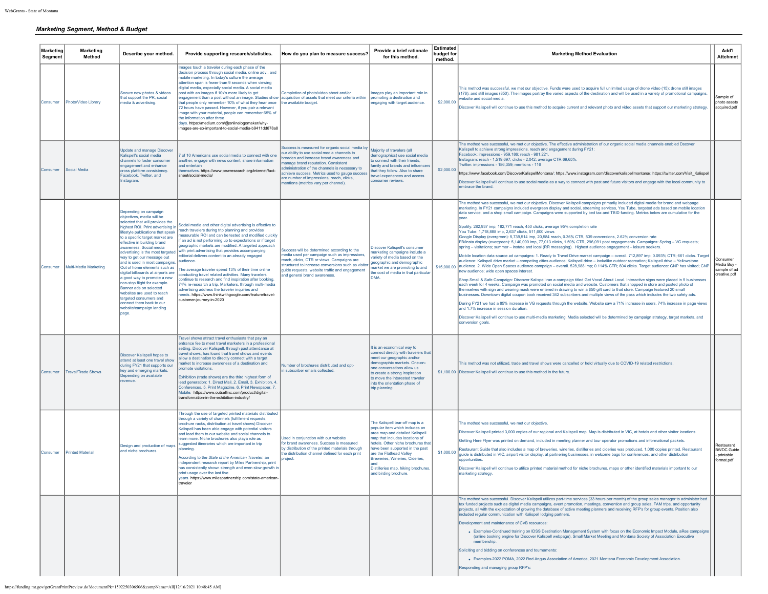# *Marketing Segment, Method & Budget*

| Marketing<br>Segment | <b>Marketing</b><br>Method   | Describe your method.                                                                                                                                                                                                                                                                                                                                                                                                                                                                                                                                                                                                                                   | Provide supporting research/statistics.                                                                                                                                                                                                                                                                                                                                                                                                                                                                                                                                                                                                                                                                                                                                                | How do you plan to measure success?                                                                                                                                                                                                                                                                                                                                  | Provide a brief rationale<br>for this method.                                                                                                                                                                                                                                                                                                    | <b>Estimated</b><br>budget for<br>method. | <b>Marketing Method Evaluation</b>                                                                                                                                                                                                                                                                                                                                                                                                                                                                                                                                                                                                                                                                                                                                                                                                                                                                                                                                                                                                                                                                                                                                                                                                                                                                                                                                                                                                                                                                                                                                                                                                                                                                                                                                                                                                                                                                                                                                                                                                                                                                                                                                                                                                                                                                                                              | Add'l<br><b>Attchmnt</b>                                     |
|----------------------|------------------------------|---------------------------------------------------------------------------------------------------------------------------------------------------------------------------------------------------------------------------------------------------------------------------------------------------------------------------------------------------------------------------------------------------------------------------------------------------------------------------------------------------------------------------------------------------------------------------------------------------------------------------------------------------------|----------------------------------------------------------------------------------------------------------------------------------------------------------------------------------------------------------------------------------------------------------------------------------------------------------------------------------------------------------------------------------------------------------------------------------------------------------------------------------------------------------------------------------------------------------------------------------------------------------------------------------------------------------------------------------------------------------------------------------------------------------------------------------------|----------------------------------------------------------------------------------------------------------------------------------------------------------------------------------------------------------------------------------------------------------------------------------------------------------------------------------------------------------------------|--------------------------------------------------------------------------------------------------------------------------------------------------------------------------------------------------------------------------------------------------------------------------------------------------------------------------------------------------|-------------------------------------------|-------------------------------------------------------------------------------------------------------------------------------------------------------------------------------------------------------------------------------------------------------------------------------------------------------------------------------------------------------------------------------------------------------------------------------------------------------------------------------------------------------------------------------------------------------------------------------------------------------------------------------------------------------------------------------------------------------------------------------------------------------------------------------------------------------------------------------------------------------------------------------------------------------------------------------------------------------------------------------------------------------------------------------------------------------------------------------------------------------------------------------------------------------------------------------------------------------------------------------------------------------------------------------------------------------------------------------------------------------------------------------------------------------------------------------------------------------------------------------------------------------------------------------------------------------------------------------------------------------------------------------------------------------------------------------------------------------------------------------------------------------------------------------------------------------------------------------------------------------------------------------------------------------------------------------------------------------------------------------------------------------------------------------------------------------------------------------------------------------------------------------------------------------------------------------------------------------------------------------------------------------------------------------------------------------------------------------------------------|--------------------------------------------------------------|
|                      | Consumer Photo/Video Library | Secure new photos & videos<br>that support the PR, social<br>nedia & advertising.                                                                                                                                                                                                                                                                                                                                                                                                                                                                                                                                                                       | mages touch a traveler during each phase of the<br>decision process through social media, online adv., and<br>mobile marketing. In today's culture the average<br>attention span is fewer than 9 seconds when viewing<br>figital media, especially social media. A social media<br>post with an images if 10x's more likely to get<br>engagement than a post without an image. Studies show acquisition of assets that meet our criteria within<br>that people only remember 10% of what they hear once<br>72 hours have passed. However, if you pair a relevant<br>image with your material, people can remember 65% of<br>the information after three<br>days. https://medium.com/@onlinelogomaker/why-<br>images-are-so-important-to-social-media-b9411dd678a8                      | Completion of photo/video shoot and/or<br>the available budget.                                                                                                                                                                                                                                                                                                      | mages play an important role in<br>promoting a destination and<br>engaging with target audience.                                                                                                                                                                                                                                                 | \$2,000.00                                | This method was successful, we met our objective. Funds were used to acquire full unlimited usage of drone video (15); drone still images<br>[176); and still images (850). The images portray the varied aspects of the destination and will be used in a variety of promotional campaigns<br>website and social media<br>Discover Kalispell will continue to use this method to acquire current and relevant photo and video assets that support our marketing strategy.                                                                                                                                                                                                                                                                                                                                                                                                                                                                                                                                                                                                                                                                                                                                                                                                                                                                                                                                                                                                                                                                                                                                                                                                                                                                                                                                                                                                                                                                                                                                                                                                                                                                                                                                                                                                                                                                      | Sample of<br>photo assets<br>acquired.pdf                    |
| Consumer             | Social Media                 | <b>Update and manage Discover</b><br>Kalispell's social media<br>channels to foster consumer<br>engagement and enhance<br>cross platform consistency.<br>Facebook, Twitter, and<br>nstagram.                                                                                                                                                                                                                                                                                                                                                                                                                                                            | of 10 Americans use social media to connect with one<br>another, engage with news content, share information<br>and entertain<br>hemselves. https://www.pewresearch.org/internet/fact-<br>sheet/social-media/                                                                                                                                                                                                                                                                                                                                                                                                                                                                                                                                                                          | Success is measured for organic social media by<br>our ability to use social media channels to<br>aden and increase brand awareness and<br>anage brand reputation. Consistent<br>dministration of the channels is necessary to<br>chieve success. Metrics used to gauge success<br>are number of impressions, reach, clicks,<br>nentions (metrics vary per channel). | Majority of travelers (all<br>lemographics) use social media<br>to connect with their friends.<br>family and brands and influencers<br>that they follow. Also to share<br>travel experiences and access<br>consumer reviews.                                                                                                                     | \$2,000.00                                | The method was successful, we met our objective. The effective administration of our organic social media channels enabled Dscover<br>Kalispell to achieve strong impressions, reach and engagement during FY21:<br>Facebook: impressions - 959,186; reach - 981,221.<br>Instagram: reach - 1,519,697; clicks - 2,042; average CTR 69,65%.<br>Twitter: impressions - 186,359; mentions - 116<br>https://www.facebook.com/DiscoverKalispellMontana/; https://www.instagram.com/discoverkalispellmontana/; https://twitter.com/Visit_Kalispell<br>Discover Kalispell will continue to use social media as a way to connect with past and future visitors and engage with the local community to<br>embrace the brand.                                                                                                                                                                                                                                                                                                                                                                                                                                                                                                                                                                                                                                                                                                                                                                                                                                                                                                                                                                                                                                                                                                                                                                                                                                                                                                                                                                                                                                                                                                                                                                                                                             |                                                              |
| Consumer             | Multi-Media Marketing        | Depending on campaign<br>objectives, media will be<br>selected that will provides the<br>highest ROI. Print advertising in<br>lifestyle publications that speak<br>to a specific target market are<br>effective in building brand<br>awareness, Social media<br>advertising is the most targeted<br>way to get our message out<br>and is used in most campaigns<br>Out of home elements such as<br>digital billboards at airports are<br>a good way to promote a new<br>non-stop flight for example.<br>Banner ads on selected<br>websites are used to reach<br>targeted consumers and<br>connect them back to our<br>website/campaign landing<br>page. | Social media and other digital advertising is effective to<br>each travelers during trip planning and provides<br>reasurable ROI and can be tested and modified quickly<br>an ad is not performing up to expectations or if target<br>eographic markets are modified. A targeted approach<br>vith print advertising that provides accompanying<br>ditorial delivers content to an already engaged<br>udience.<br>he average traveler spend 13% of their time online<br>onducting travel related activities. Many travelers<br>ontinue to research and find inspiration after booking.<br>74% re-research a trip. Marketers, through multi-media<br>advertising address the traveler inquiries and<br>eeds. https://www.thinkwithgoogle.com/feature/travel-<br>customer-journey-in-2020 | Success will be determined according to the<br>media used per campaign such as impressions,<br>reach, clicks, CTR or views, Campaigns are<br>structured to increase conversions such as visitor<br>quide requests, website traffic and engagement<br>and general brand awareness.                                                                                    | Discover Kalispell's consumer<br>marketing campaigns include a<br>variety of media based on the<br>eographic and demographic<br>narket we are promoting to and<br>the cost of media in that particula<br><b>DMA</b>                                                                                                                              |                                           | The method was successful, we met our objective. Discover Kalispell campaigns primarily included digital media for brand and webpage<br>marketing. In FY21 campaigns included evergreen display and social, streaming services, You Tube, targeted ads based on mobile location<br>data service, and a shop small campaign. Campaigns were supported by bed tax and TBID funding. Metrics below are cumulative for the<br>Spotify: 282,937 imp, 182,771 reach, 450 clicks, average 95% completion rate<br>You Tube: 1,718,888 imp, 2,637 clicks, 511,600 views<br>Google Display (evergreen): 5,739,514 imp, 20,584 reach, 0.36% CTR, 539 conversions, 2.62% conversion rate<br>FB/Insta display (evergreen): 5,140,000 imp, 77,013 clicks, 1.50% CTR, 296,091 post engagements. Campaigns: Spring - VG requests;<br>spring - visitations; summer - instate and local (RR messaging). Highest audience engagement - leisure seekers.<br>Mobile location data source ad campaigns: 1, Ready to Travel Drive market campaign - overall, 712.897 imp; 0.093% CTR; 661 clicks, Target<br>audience: Kalispell drive market - competing cities audience; Kalispell drive - lookalike outdoor recreation; Kalispell drive - Yellowstone<br>s15,000.00 ∫audience. 2. Wide Open Spaces audience campaign – overall. 528,988 imp; 0.114% CTR; 604 clicks. Target audience: GNP has visited; GNP<br>new audience; wide open spaces interest.<br>Shop Small & Safe Campaign: Discover Kalispell ran a campaign titled Get Vocal About Local. Interactive signs were placed in 5 businesses<br>each week for 4 weeks. Campaign was promoted on social media and website. Customers that shopped in store and posted photo of<br>themselves with sign and wearing mask were entered in drawing to win a \$50 gift card to that store. Campaign featured 20 small<br>businesses. Downtown digital coupon book received 342 subscribers and multiple views of the pass which includes the two safety ads.<br>During FY21 we had a 85% increase in VG requests through the website. Website saw a 71% increase in users, 74% increase in page views<br>and 1.7% increase in session duration.<br>Discover Kalispell will continue to use multi-media marketing. Media selected will be determined by campaign strategy, target markets, and<br>conversion goals. | Consumer<br>Media Buy -<br>sample of ad<br>creative.pdf      |
| Consumer             | Travel/Trade Shows           | Discover Kalispell hopes to<br>attend at least one travel show<br>during FY21 that supports our<br>key and emerging markets.<br>Depending on available<br>revenue                                                                                                                                                                                                                                                                                                                                                                                                                                                                                       | Fravel shows attract travel enthusiasts that pay an<br>entrance fee to meet travel marketers in a professional<br>setting. Discover Kalispell, through past attendance at<br>ravel shows, has found that travel shows and events<br>low a destination to directly connect with a target<br>tarket to increase awareness of a destination and<br>romote visitations<br>Exhibition (trade shows) are the third highest form of<br>lead generation: 1. Direct Mail, 2. Email, 3. Exhibition, 4.<br>Conferences, 5. Print Magazine, 6. Print Newspaper, 7.<br>Mobile. https://www.outsellinc.com/product/digital-<br>transformation-in-the-exhibition-industry/                                                                                                                            | Number of brochures distributed and opt-<br>n subscriber emails collected.                                                                                                                                                                                                                                                                                           | It is an economical way to<br>connect directly with travelers that<br>meet our geographic and/or<br>demographic markets. One-on-<br>one conversations allow us<br>to create a strong inspiration<br>to move the interested traveler<br>into the orientation phase of<br>trip planning.                                                           |                                           | This method was not utilized, trade and travel shows were cancelled or held virtually due to COVID-19 related restrictions.<br>\$1,100.00 Discover Kalispell will continue to use this method in the future.                                                                                                                                                                                                                                                                                                                                                                                                                                                                                                                                                                                                                                                                                                                                                                                                                                                                                                                                                                                                                                                                                                                                                                                                                                                                                                                                                                                                                                                                                                                                                                                                                                                                                                                                                                                                                                                                                                                                                                                                                                                                                                                                    |                                                              |
| Consumer             | <b>Printed Material</b>      | Design and production of maps<br>and niche brochures                                                                                                                                                                                                                                                                                                                                                                                                                                                                                                                                                                                                    | Through the use of targeted printed materials distributed<br>through a variety of channels (fulfillment requests,<br>brochure racks, distribution at travel shows) Discover<br>Kalispell has been able engage with potential visitors<br>and lead them to our website and social channels to<br>learn more. Niche brochures also playa role as<br>suggested itineraries which are important in trip<br>olanning.<br>According to the State of the American Traveler, an<br>ndependent research report by Miles Partnership, print<br>has consistently shown strength and even slow growth in<br>print usage over the last five<br>ears. https://www.milespartnership.com/state-america<br>traveler                                                                                     | Used in conjunction with our website<br>for brand awareness. Success is measured<br>by distribution of the printed materials through<br>the distribution channel defined for each print<br>project.                                                                                                                                                                  | The Kalispell tear-off map is a<br>popular item which includes an<br>area map and detailed Kalispell<br>map that includes locations of<br>notels. Other niche brochures that<br>have been supported in the past<br>are the Flathead Valley<br><b>Breweries Wineries Cideries</b><br>Distilleries map, hiking brochures,<br>and birding brochure. | \$1,000.00                                | The method was successful, we met our objective.<br>Discover Kalispell printed 3,000 copies of our regional and Kalispell map. Map is distributed in VIC, at hotels and other visitor locations.<br>Getting Here Flyer was printed on demand, included in meeting planner and tour operator promotions and informational packets.<br>Restaurant Guide that also includes a map of breweries, wineries, distilleries and cideries was produced, 1,000 copies printed. Restaurant<br>guide is distributed in VIC, airport visitor display, at partnering businesses, in welcome bags for conferences, and other distribution<br>ppportunities<br>Discover Kalispell will continue to utilize printed material method for niche brochures, maps or other identified materials important to our<br>marketing strategy.                                                                                                                                                                                                                                                                                                                                                                                                                                                                                                                                                                                                                                                                                                                                                                                                                                                                                                                                                                                                                                                                                                                                                                                                                                                                                                                                                                                                                                                                                                                              | Restaurant<br><b>BWDC Guide</b><br>- printable<br>format.pdf |
|                      |                              |                                                                                                                                                                                                                                                                                                                                                                                                                                                                                                                                                                                                                                                         |                                                                                                                                                                                                                                                                                                                                                                                                                                                                                                                                                                                                                                                                                                                                                                                        |                                                                                                                                                                                                                                                                                                                                                                      |                                                                                                                                                                                                                                                                                                                                                  |                                           | The method was successful. Discover Kalispell utilizes part-time services (33 hours per month) of the group sales manager to administer bed<br>tax funded projects such as digital media campaigns, event promotion, meetings, convention and group sales, FAM trips, and opportunity<br>projects, all with the expectation of growing the database of active meeting planners and receiving RFP's for group events. Position also<br>included regular communication with Kalispell lodging partners.<br>Development and maintenance of CVB resources:<br>. Examples-Continued training on IDSS Destination Management System with focus on the Economic Impact Module, aRes campaigns<br>(online booking engine for Discover Kalispell webpage), Small Market Meeting and Montana Society of Association Executive<br>membership.<br>Soliciting and bidding on conferences and tournaments:<br>. Examples-2022 POMA, 2022 Red Angus Association of America, 2021 Montana Economic Development Association.<br>Responding and managing group RFP's:                                                                                                                                                                                                                                                                                                                                                                                                                                                                                                                                                                                                                                                                                                                                                                                                                                                                                                                                                                                                                                                                                                                                                                                                                                                                                             |                                                              |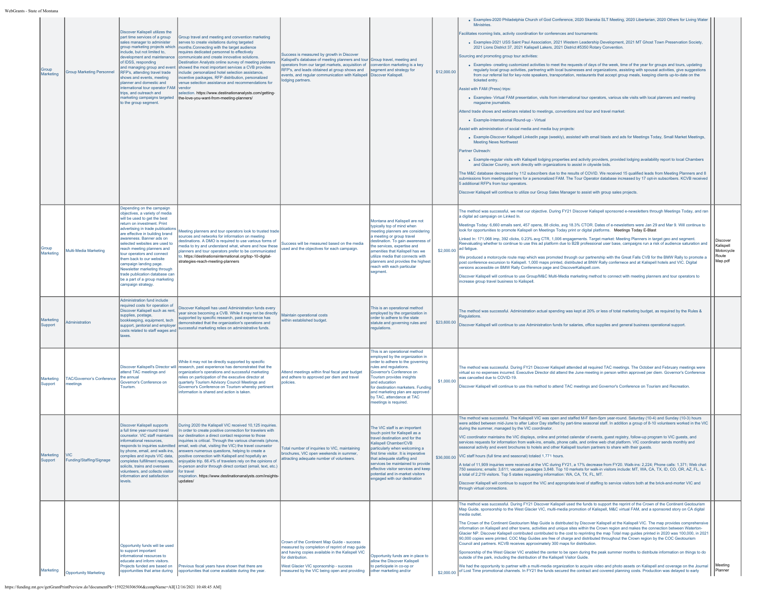| Group<br>Marketing   | <b>Group Marketing Personnel</b>             | Discover Kalispell utilizes the<br>part time services of a group<br>sales manager to administer<br>group marketing projects which<br>include, but not limited to.<br>development and maintenance<br>of IDSS, responding<br>and managing group and event<br>RFP's, attending travel trade<br>shows and events, meeting<br>planner and domestic and<br>nternational tour operator FAM Ivendor<br>trips, and outreach and<br>marketing campaigns targeted<br>to the group segment.                             | Group travel and meeting and convention marketing<br>serves to create visitations during targeted<br>months. Connecting with the target audience<br>equires dedicated personnel to effectively<br>communicate and create innovative solutions.<br>Destination Analysts online survey of meeting planners<br>showed the most important services a CVB provides<br>include: personalized hotel selection assistance,<br>incentive packages, RFP distribution, personalized<br>enue selection assistance and recommendations for<br>selection. https://www.destinationanalysts.com/getting-<br>the-love-you-want-from-meeting-planners/ | Success is measured by growth in Discover<br>Kalispell's database of meeting planners and tour Group travel, meeting and<br>operators from our target markets, acquisition of convention marketing is a key<br>RFP's, and leads obtained at group shows and<br>events, and regular communication with Kalispell Discover Kalispell.<br>odging partners. | segment and strategy for                                                                                                                                                                                                                                                                                                                                                 | \$12,000.00 | · Examples-2020 Philadelphia Church of God Conference, 2020 Skanska SLT Meeting, 2020 Libertarian, 2020 Others for Living Water<br><b>Ministries</b><br>Facilitates rooming lists, activity coordination for conferences and tournaments:<br>· Examples-2021 USS Saint Paul Association, 2021 Western Leadership Development, 2021 MT Ghost Town Preservation Society,<br>2021 Lions District 37, 2021 Kalispell Lakers, 2021 District #5350 Rotary Convention.<br>Sourcing and promoting group tour activities:<br>• Examples- creating customized activities to meet the requests of days of the week, time of the year for groups and tours, updating<br>regularly local group activities, partnering with local businesses and organizations, assisting with spousal activities, give suggestions<br>from our referral list for key-note speakers, transportation, restaurants that accept group meals, keeping clients up-to-date on the<br>ticketed entry<br>Assist with FAM (Press) trips:<br>. Examples- Virtual FAM presentation, visits from international tour operators, various site visits with local planners and meeting<br>magazine journalists<br>Attend trade shows and webinars related to meetings, conventions and tour and travel market:<br>• Example-International Round-up - Virtual<br>Assist with administration of social media and media buy projects:<br>. Example-Discover Kalispell LinkedIn page (weekly), assisted with email blasts and ads for Meetings Today, Small Market Meetings,<br><b>Meeting News Northwest</b><br><b>Partner Outreach</b><br>• Example-regular visits with Kalispell lodging properties and activity providers, provided lodging availability report to local Chambers<br>and Glacier Country, work directly with organizations to assist in citywide bids.<br>The M&C database decreased by 112 subscribers due to the results of COVID. We received 15 qualified leads from Meeting Planners and 8<br>submissions from meeting planners for a personalized FAM. The Tour Operator database increased by 17 opt-in subscribers. KCVB received<br>5 additional RFP's from tour operators.<br>Discover Kalispell will continue to utilize our Group Sales Manager to assist with group sales projects. |                                                         |
|----------------------|----------------------------------------------|-------------------------------------------------------------------------------------------------------------------------------------------------------------------------------------------------------------------------------------------------------------------------------------------------------------------------------------------------------------------------------------------------------------------------------------------------------------------------------------------------------------|--------------------------------------------------------------------------------------------------------------------------------------------------------------------------------------------------------------------------------------------------------------------------------------------------------------------------------------------------------------------------------------------------------------------------------------------------------------------------------------------------------------------------------------------------------------------------------------------------------------------------------------|---------------------------------------------------------------------------------------------------------------------------------------------------------------------------------------------------------------------------------------------------------------------------------------------------------------------------------------------------------|--------------------------------------------------------------------------------------------------------------------------------------------------------------------------------------------------------------------------------------------------------------------------------------------------------------------------------------------------------------------------|-------------|--------------------------------------------------------------------------------------------------------------------------------------------------------------------------------------------------------------------------------------------------------------------------------------------------------------------------------------------------------------------------------------------------------------------------------------------------------------------------------------------------------------------------------------------------------------------------------------------------------------------------------------------------------------------------------------------------------------------------------------------------------------------------------------------------------------------------------------------------------------------------------------------------------------------------------------------------------------------------------------------------------------------------------------------------------------------------------------------------------------------------------------------------------------------------------------------------------------------------------------------------------------------------------------------------------------------------------------------------------------------------------------------------------------------------------------------------------------------------------------------------------------------------------------------------------------------------------------------------------------------------------------------------------------------------------------------------------------------------------------------------------------------------------------------------------------------------------------------------------------------------------------------------------------------------------------------------------------------------------------------------------------------------------------------------------------------------------------------------------------------------------------------------------------------------------------------------------------------------------------------------------------------|---------------------------------------------------------|
| Marketing            | Multi-Media Marketing                        | Depending on the campaign<br>objectives, a variety of media<br>will be used to get the best<br>return on investment. Print<br>advertising in trade publications<br>are effective in building brand<br>awareness. Banner ads on<br>selected websites are used to<br>reach meeting planners and<br>tour operators and connect<br>them back to our website<br>campaign landing page.<br>Newsletter marketing through<br>trade publication database car<br>be a part of a group marketing<br>campaign strategy. | Meeting planners and tour operators look to trusted trade<br>sources and networks for information on meeting<br>destinations. A DMO is required to use various forms of<br>edia to try and understand what, where and how these<br>anners and tour operators prefer to be communicated<br>https://destinationsinternational.org/top-10-digital-<br>strategies-reach-meeting-planners                                                                                                                                                                                                                                                 | Success will be measured based on the media<br>used and the objectives for each campaign.                                                                                                                                                                                                                                                               | Montana and Kalispell are not<br>typically top of mind when<br>meeting planners are considering<br>a meeting or group travel<br>destination. To gain awareness of<br>the services, expertise and<br>menities that Kalispell has we<br>utilize media that connects with<br>planners and provides the highest<br>reach with each particular<br>segment                     | \$2,000.00  | The method was successful, we met our objective. During FY21 Discover Kalispell sponsored e-newsletters through Meetings Today, and ran<br>a digital ad campaign on Linked In<br>Meetings Today: 6,660 emails sent, 457 opens, 88 clicks, avg 18.3% CTOR. Dates of e-newsletters were Jan 29 and Mar 9. Will continue to<br>look for opportunities to promote Kalispell on Meetings Today print or digital platforms. Meetings Today E-Blast<br>Linked In: 171,068 imp, 392 clicks, 0.23% avg CTR, 1,006 engagements. Target market: Meeting Planners in target geo and segment.<br>Reevaluating whether to continue to use this ad platform due to B2B professional user base, campaigns run a risk of audience saturation and<br>ad fatigue.<br>We produced a motorcycle route map which was promoted thruogh our partnership with the Great Falls CVB for the BMW Rally to promote a<br>post conference excursion to Kalispell. 1,000 maps printed, distributed at BNW Rally confernece and at Kalispell hotels and VIC. Digital<br>versions accessible on BMW Rally Conference page and DiscoverKalispell.com.<br>Discover Kalispell will continue to use Group/M&C Multi-Media marketing method to connect with meeting planners and tour operators to<br>increase group travel business to Kalispell.                                                                                                                                                                                                                                                                                                                                                                                                                                                                                                                                                                                                                                                                                                                                                                                                                                                                                                                                                        | Discover<br>Kalispell<br>Motorcycle<br>Route<br>Map.pdf |
| Marketing<br>Support | Administration                               | <b>Administration fund include</b><br>required costs for operation of<br>Discover Kalispell such as rent,<br>supplies, postage,<br>bookkeeping, equipment, tech<br>support, janitorial and employer<br>costs related to staff wages and<br>taxes.                                                                                                                                                                                                                                                           | Discover Kalispell has used Administration funds every<br>year since becoming a CVB. While it may not be directly<br>supported by specific research, past experience has<br>demonstrated that the organization's operations and<br>successful marketing relies on administrative funds.                                                                                                                                                                                                                                                                                                                                              | Maintain operational costs<br>within established budget.                                                                                                                                                                                                                                                                                                | This is an operational method<br>employed by the organization in<br>order to adhere to the state<br>statute and governing rules and<br>regulations.                                                                                                                                                                                                                      | \$23,600.00 | The method was successful. Administration actual spending was kept at 20% or less of total marketing budget, as required by the Rules &<br>Regulations.<br>Discover Kalispell will continue to use Administration funds for salaries, office supplies and general business operational support.                                                                                                                                                                                                                                                                                                                                                                                                                                                                                                                                                                                                                                                                                                                                                                                                                                                                                                                                                                                                                                                                                                                                                                                                                                                                                                                                                                                                                                                                                                                                                                                                                                                                                                                                                                                                                                                                                                                                                                    |                                                         |
| Marketing<br>Support | <b>TAC/Governor's Conference</b><br>neetinas | attend TAC meetings and<br>the annual<br><b>Sovernor's Conference on</b><br>Tourism.                                                                                                                                                                                                                                                                                                                                                                                                                        | While it may not be directly supported by specific<br>Discover Kalispell's Director will Îresearch, past experience has demonstrated that the<br>organization's operations and successful marketing<br>relies on participation of the executive director at<br>quarterly Tourism Advisory Council Meetings and<br>Governor's Conference on Tourism whereby pertinent<br>information is shared and action is taken.                                                                                                                                                                                                                   | Attend meetings within final fiscal year budget<br>and adhere to approved per diem and travel<br>policies.                                                                                                                                                                                                                                              | This is an operational method<br>employed by the organization in<br>order to adhere to the governing<br>rules and regulations<br>Governor's Conference on<br><b>Tourism provides insights</b><br>and education<br>for destination marketers. Funding<br>and marketing plan are approved<br>by TAC, attendance at TAC<br>neetings is required.                            | \$1,000.00  | he method was successful. During FY21 Discover Kalispell attended all required TAC meetings. The October and February meetings were<br>virtual so no expenses incurred. Executive Director did attend the June meeting in person within approved per diem. Governor's Conference<br>was cancelled due to COVID-19.<br>Discover Kalispell will continue to use this method to attend TAC meetings and Governor's Conference on Tourism and Recreation.                                                                                                                                                                                                                                                                                                                                                                                                                                                                                                                                                                                                                                                                                                                                                                                                                                                                                                                                                                                                                                                                                                                                                                                                                                                                                                                                                                                                                                                                                                                                                                                                                                                                                                                                                                                                              |                                                         |
| Marketing<br>Support | Ivic.<br>Funding/Staffing/Signage            | <b>Discover Kalispell supports</b><br>a full time vear-round travel<br>counselor, VIC staff maintains<br>informational resources,<br>responds to inquiries submitted<br>by phone, email, and walk-ins.<br>compiles and inputs VIC data,<br>completes fulfillment requests,<br>olicits, trains and oversees<br>volunteers, and collects visitor<br>information and satisfaction<br>levels.                                                                                                                   | During 2020 the Kalispell VIC received 10,125 inquiries.<br>In order to create positive connection for travelers with<br>our destination a direct contact response to those<br>inquiries is critical. Through the various channels (phone,<br>email, web chat, visiting the VIC) the travel counselor<br>lanswers numerous questions, helping to create a<br>positive connection with Kalispell and hopefully an<br>enjovable trip. 66.4% of travelers rely on the opinions of<br>in-person and/or through direct contact (email, text, etc.)<br>for travel<br>inspiration. https://www.destinationanalysts.com/insights<br>updates/ | Total number of inquiries to VIC, maintaining<br>brochures, VIC open weekends in summer,<br>attracting adequate number of volunteers.                                                                                                                                                                                                                   | The VIC staff is an important<br>touch point for Kalispell as a<br>travel destination and for the<br>Kalispell Chamber/CVB<br>irticularly when wel<br>first time visitor. It is imperative<br>that adequate staffing and<br>services be maintained to provide<br>effective visitor services and keep<br>potential and in-market visitors<br>engaged with our destination |             | The method was successful. The Kalispell VIC was open and staffed M-F 8am-5pm year-round. Saturday (10-4) and Sunday (10-3) hours<br>were added between mid-June to after Labor Day staffed by part-time seasonal staff. In addition a group of 8-10 volunteers worked in the VIC<br>during the summer, managed by the VIC coordinator.<br>VIC coordinator maintains the VIC displays, online and printed calendar of events, guest registry, follow-up program to VIC guests, and<br>services requests for information from walk-ins, emails, phone calls, and online web chat platform. VIC coordinator sends monthly and<br>seasonal activity and event brochures to hotels and other Kalispell tourism partners to share with their guests.<br>\$36,000.00 VIC staff hours (full time and seasonal) totaled 1,771 hours.<br>A total of 11,909 inquiries were received at the VIC during FY21, a 17% decrease from FY20. Walk-ins: 2,224; Phone calls: 1,371; Web chat:<br>750 sessions; emails: 3,611; vacaton packages 3,848. Top 10 markets for walk-in visitors include: MT, WA, CA, TX, ID, CO, OR, AZ, FL, IL -<br>a total of 2,219 visitors. Top 5 states requesting information: WA, CA, TX, FL, MT.<br>Discover Kalispell will continue to support the VIC and appropriate level of staffing to service visitors both at the brick-and-morter VIC and<br>through virtual connections.                                                                                                                                                                                                                                                                                                                                                                                                                                                                                                                                                                                                                                                                                                                                                                                                                                                                  |                                                         |
| Marketing            | Opportunity Marketing                        | Opportunity funds will be used<br>to support important<br>informational resources to<br>educate and inform visitors.<br>Projects funded are based on<br>opportunities that arise during                                                                                                                                                                                                                                                                                                                     | Previous fiscal vears have shown that there are<br>pportunities that come available during the year.                                                                                                                                                                                                                                                                                                                                                                                                                                                                                                                                 | Crown of the Continent Map Guide - success<br>measured by completion of reprint of map quide<br>and having copies available in the Kalispell VIC<br>for distribution.<br>West Glacier VIC sponsorship - success<br>reasured by the VIC being open and providing                                                                                         | Opportunity funds are in place to<br>allow the Discover Kalispell<br>to participate in co-op or<br>other marketing and/or                                                                                                                                                                                                                                                | \$2,000.00  | The method was successful. During FY21 Discover Kalispell used the funds to support the reprint of the Crown of the Continent Geotourism<br>Map Guide, sponsorship to the West Glacier VIC, multi-media promotion of Kalispell, M&C virtual FAM, and a sponsored story on CA digital<br>media outlet.<br>The Crown of the Continent Geotourism Map Guide is distributed by Discover Kalispell at the Kalispell VIC. The map provides comprehensive<br>information on Kalispell and other towns, activities and unique sites within the Crown region and makes the connection between Waterton-<br>Glacier NP. Discover Kalispell contributed contributed to the cost to reprinting the map Total map guides printed in 2020 was 100,000, in 2021<br>90,000 copies were printed. COC Map Guides are free of charge and distributed throughout the Crown region by the COC Geotourism<br>Council and partners. KCVB receives approximately 300 maps for distribution.<br>Sponsorship of the West Glacier VIC enabled the center to be open during the peak summer months to distribute information on things to do<br>butside of the park, including the distribution of the Kalispell Visitor Guide.<br>We had the opportunity to partner with a multi-media organization to acquire video and photo assets on Kalispell and coverage on the Journal<br>of Lost Time promotional channels. In FY21 the funds secured the contract and covered planning costs. Production was delayed to early                                                                                                                                                                                                                                                                                                                                                                                                                                                                                                                                                                                                                                                                                                                                                                       | Meeting<br>Planner                                      |

https://funding.mt.gov/getGrantPrintPreview.do?documentPk=1592250306506&compName=All[12/16/2021 10:48:45 AM]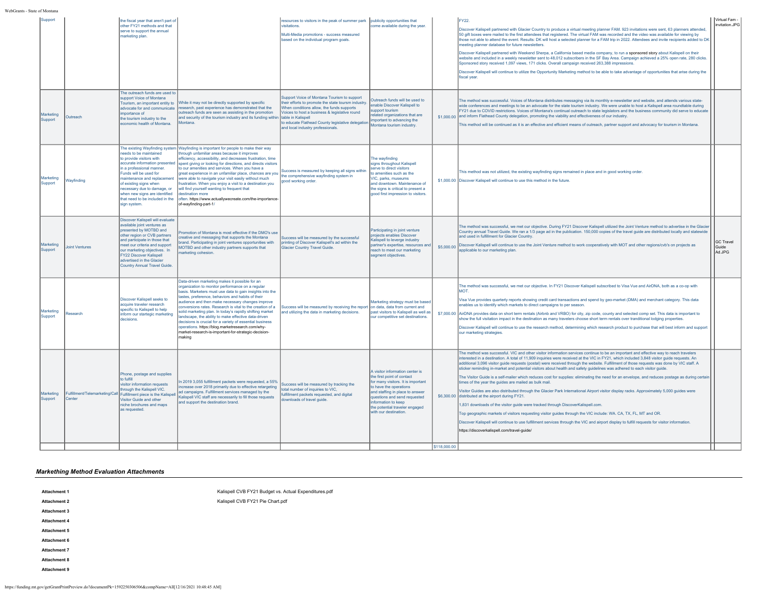| Support                     |                       | the fiscal year that aren't part of<br>other FY21 methods and that<br>serve to support the annual<br>marketing plan.                                                                                                                                                                                                  |                                                                                                                                                                                                                                                                                                                                                                                                                                                                                                                                                                                                                                                        | resources to visitors in the peak of summer park   publicity opportunities that<br>visitations<br>Multi-Media promotions - success measured<br>based on the individual program goals.                                                                                                                            | come available during the year.                                                                                                                                                                                                                                                    |              | FY22.<br>Discover Kalispell partnered with Glacier Country to produce a virtual meeting planner FAM. 923 invitations were sent, 63 planners attended,<br>50 gift boxes were mailed to the first attendees that registered. The virtual FAM was recorded and the video was available for viewing by<br>those not able to attend the event. Results: DK will host a selected planner for a FAM trip in 2022. Attendees and invite recipients added to DK<br>neeting planner database for future newsletters.<br>Discover Kalispell partnered with Weekend Sherpa, a California based media company, to run a sponsored story about Kalispell on their<br>website and included in a weekly newsletter sent to 48,012 subscribers in the SF Bay Area. Campaign achieved a 25% open rate, 280 clicks.<br>Sponsored story received 1,097 views, 171 clicks. Overall campaign received 263,388 impressions.<br>Discover Kalispell will continue to utilize the Opportunity Marketing method to be able to take advantage of opportunities that arise during the<br>fiscal year.                                                                                                                                                                                                                                                                                                            | Virtual Fam -<br>nvitation.JPG |
|-----------------------------|-----------------------|-----------------------------------------------------------------------------------------------------------------------------------------------------------------------------------------------------------------------------------------------------------------------------------------------------------------------|--------------------------------------------------------------------------------------------------------------------------------------------------------------------------------------------------------------------------------------------------------------------------------------------------------------------------------------------------------------------------------------------------------------------------------------------------------------------------------------------------------------------------------------------------------------------------------------------------------------------------------------------------------|------------------------------------------------------------------------------------------------------------------------------------------------------------------------------------------------------------------------------------------------------------------------------------------------------------------|------------------------------------------------------------------------------------------------------------------------------------------------------------------------------------------------------------------------------------------------------------------------------------|--------------|-------------------------------------------------------------------------------------------------------------------------------------------------------------------------------------------------------------------------------------------------------------------------------------------------------------------------------------------------------------------------------------------------------------------------------------------------------------------------------------------------------------------------------------------------------------------------------------------------------------------------------------------------------------------------------------------------------------------------------------------------------------------------------------------------------------------------------------------------------------------------------------------------------------------------------------------------------------------------------------------------------------------------------------------------------------------------------------------------------------------------------------------------------------------------------------------------------------------------------------------------------------------------------------------------------------------------------------------------------------------------------------|--------------------------------|
| Marketing<br>Support        | Outreach              | The outreach funds are used to<br>support Voice of Montana<br>Tourism, an important entity to<br>advocate for and communicate<br>mportance of<br>the tourism industry to the<br>economic health of Montana                                                                                                            | While it may not be directly supported by specific<br>research, past experience has demonstrated that the<br>outreach funds are seen as assisting in the promotion<br>and security of the tourism industry and its funding within<br>Montana.                                                                                                                                                                                                                                                                                                                                                                                                          | Support Voice of Montana Tourism to support<br>their efforts to promote the state toursm industry.<br>When conditions allow, the funds supports<br>Voices to host a business & legislative round<br>table in Kalispell<br>to educate Flathead County legislative delegation<br>and local industry professionals. | Outreach funds will be used to<br>enable Discover Kalispell to<br>support tourism<br>elated organizations that are<br>important to advancing the<br>Montana tourism industry.                                                                                                      |              | The method was successful. Voices of Montana distributes messaging via its monthly e-newsletter and website, and attends various state-<br>wide conferences and meetings to be an advocate for the state tourism industry. We were unable to host a Kalispell area roundtable during<br>FY21 due to COVID restrictions. Voices of Montana's continual outreach to state legislators and the business community did serve to educate<br>\$1,000.00 and inform Flathead County delegation, promoting the viability and effectiveness of our industry.<br>This method will be continued as it is an effective and efficient means of outreach, partner support and advocacy for tourism in Montana.                                                                                                                                                                                                                                                                                                                                                                                                                                                                                                                                                                                                                                                                                    |                                |
| Marketing<br><b>Support</b> | Wayfinding            | eeds to be maintained<br>to provide visitors with<br>accurate information presented<br>in a professional manner<br>Funds will be used for<br>maintenance and replacement<br>of existing signs when<br>necessary due to damage, or<br>when new signs are identified<br>that need to be included in the<br>sign system. | The existing Wayfinding system Wayfinding is important for people to make their way<br>through unfamiliar areas because it improves<br>efficiency, accessibility, and decreases frustration, time<br>spent giving or looking for directions, and directs visitors<br>to our amenities and services. When you have a<br>reat experience in an unfamiliar place, chances are you<br>were able to navigate your visit easily without much<br>ustration. When you enjoy a visit to a destination you<br>will find yourself wanting to frequent that<br>estination more<br>often. https://www.actuallywecreate.com/the-importance-<br>of-wayfinding-part-1/ | Success is measured by keeping all signs within<br>the comprehensive wayfinding system in<br>good working order.                                                                                                                                                                                                 | The wavfinding<br>signs throughout Kalispell<br>serve to direct visitors<br>to amenities such as the<br>VIC parks museums<br>and downtown. Maintenance of<br>the signs is critical to present a<br>good first impression to visitors.                                              |              | This method was not utilized, the existing wayfinding signs remained in place and in good working order.<br>\$1,000,00 Discover Kalispell will continue to use this method in the future.                                                                                                                                                                                                                                                                                                                                                                                                                                                                                                                                                                                                                                                                                                                                                                                                                                                                                                                                                                                                                                                                                                                                                                                           |                                |
| Marketing<br>Support        | <b>Joint Ventures</b> | Discover Kalispell will evaluate<br>available joint ventures as<br>presented by MOTBD and<br>other region or CVB partners<br>and participate in those that<br>meet our criteria and support<br>our marketing objectives. In<br>FY22 Discover Kalispell<br>advertised in the Glacier<br>Country Annual Travel Guide.   | omotion of Montana is most effective if the DMO's use<br>creative and messaging that supports the Montana<br>rand. Participating in joint ventures opportunities with<br>MOTBD and other industry partners supports that<br>arketing cohesion                                                                                                                                                                                                                                                                                                                                                                                                          | Success will be measured by the successful<br>printing of Discover Kalispell's ad within the<br>Glacier Country Travel Guide.                                                                                                                                                                                    | Participating in joint venture<br>projects enables Discover<br>Kalispell to leverge industry<br>partner's expertise, resources and<br>reach to meet our marketing<br>segment objectives.                                                                                           |              | The method was successful, we met our objective. During FY21 Discover Kalispell utilized the Joint Venture method to advertise in the Glacier<br>Country annual Travel Guide. We ran a 1/3 page ad in the publication. 150,000 copies of the travel guide are distributed locally and statewide<br>and used in fulfillment for Glacier Country<br>\$5,000.00 Discover Kalispell will continue to use the Joint Venture method to work cooperatively with MOT and other regions/cvb's on projects as<br>applicable to our marketing plan                                                                                                                                                                                                                                                                                                                                                                                                                                                                                                                                                                                                                                                                                                                                                                                                                                             | GC Travel<br>Guide<br>Ad.JPG   |
| Marketing<br>Support        | Research              | Discover Kalispell seeks to<br>acquire traveler research<br>specific to Kalispell to help<br>inform our startegic marketing<br>decisions                                                                                                                                                                              | Data-driven marketing makes it possible for an<br>organization to monitor performance on a regular<br>basis. Marketers must use data to gain insights into the<br>tastes, preference, behaviors and habits of their<br>udience and then make necessary changes improve<br>onversions rates. Research is vital to the creation of a<br>olid marketing plan. In today's rapidly shifting market<br>andscape, the ability to make effective data-driven<br>lecisions is crucial for a variety of essential business<br>operations. https://blog.marketresearch.com/why-<br>market-research-is-important-for-strategic-decision-<br>making                 | Success will be measured by receiving the report on data, data from current and<br>and utilizing the data in marketing decisions.                                                                                                                                                                                | Marketing strategy must be based<br>past visitors to Kalispell as well as<br>our competitive set destinations.                                                                                                                                                                     |              | The method was successful, we met our objective. In FY21 Discover Kalispell subscribed to Visa Vue and AirDNA, both as a co-op with<br><b>MOT</b><br>/isa Vue provides quarterly reports showing credit card transactions and spend by geo-market (DMA) and merchant category. This data<br>enables us to identify which markets to direct campaigns to per season.<br>\$7,000.00 AirDNA provides data on short term rentals (Airbnb and VRBO) for city, zip code, county and selected comp set. This data is important to<br>show the full visitation impact in the destination as many travelers choose short term rentals over tranditional lodging properties.<br>Discover Kalispell will continue to use the research method, determining which research product to purchase that will best inform and support<br>our marketing strategies.                                                                                                                                                                                                                                                                                                                                                                                                                                                                                                                                    |                                |
| Marketing<br>Support        | Center                | Phone, postage and supplies<br>to fulfill<br>visitor information requests<br>through the Kalispell VIC.<br>Fulfillment/Telemarketing/Call Fulfillment piece is the Kalispell<br>Visitor Guide and other<br>niche brochures and maps<br>as requested                                                                   | In 2019 3,055 fulfillment packets were requested, a 55%<br>increase over 2018 primarily due to effective retargeting<br>ad campaigns. Fulfillment services managed by the<br>Kalispell VIC staff are necessarily to fill those requests<br>and support the destination brand.                                                                                                                                                                                                                                                                                                                                                                          | uccess will be measured by tracking the<br>total number of inquiries to VIC.<br>Ifillment packets requested, and digital<br>wnloads of travel guide.                                                                                                                                                             | A visitor information center is<br>the first point of contact<br>for many visitors. It is important<br>to have the operations<br>and staffing in place to answer<br>questions and send requested<br>information to keep<br>the potential traveler engaged<br>with our destination. | \$118,000.00 | The method was successful. VIC and other visitor information services continue to be an important and effective way to reach travelers<br>interested in a destination. A total of 11,909 inquiries were received at the VIC in FY21, which included 3,848 visitor quide requests. An<br>additional 3.096 visitor quide requests (postal) were received through the website. Fulfillment of those requests was done by VIC staff. A<br>sticker reminding in-market and potential visitors about health and safety guidelines was adhered to each visitor guide<br>The Visitor Guide is a self-mailer which reduces cost for supplies: eliminating the need for an envelope, and reduces postage as during certain<br>times of the year the quides are mailed as bulk mail.<br>Visitor Guides are also distributed through the Glacier Park International Airport visitor display racks. Approximately 5,000 quides were<br>\$6,300,00 distributed at the airport during FY21.<br>,831 downloads of the visitor guide were tracked through DiscoverKalispell.com.<br>Top geographic markets of visitors requesting visitor guides through the VIC include: WA. CA, TX, FL, MT and OR.<br>Discover Kalispell will continue to use fulfillment services through the VIC and airport display to fulfill requests for visitor information.<br>https://discoverkalispell.com/travel-quide/ |                                |
|                             |                       |                                                                                                                                                                                                                                                                                                                       |                                                                                                                                                                                                                                                                                                                                                                                                                                                                                                                                                                                                                                                        |                                                                                                                                                                                                                                                                                                                  |                                                                                                                                                                                                                                                                                    |              |                                                                                                                                                                                                                                                                                                                                                                                                                                                                                                                                                                                                                                                                                                                                                                                                                                                                                                                                                                                                                                                                                                                                                                                                                                                                                                                                                                                     |                                |

# *Markething Method Evaluation Attachments*

**Attachment 1** [Kalispell CVB FY21 Budget vs. Actual Expenditures.pdf](https://funding.mt.gov/fileDownload.jsp?filename=1638213185196_Kalispell+CVB+FY21+Budget+vs.+Actual+Expenditures.pdf) **Attachment 2** [Kalispell CVB FY21 Pie Chart.pdf](https://funding.mt.gov/fileDownload.jsp?filename=1638213185181_Kalispell+CVB+FY21+Pie+Chart.pdf) **Attachment 3 Attachment 4 Attachment 5 Attachment 6 Attachment 7 Attachment 8 Attachment 9**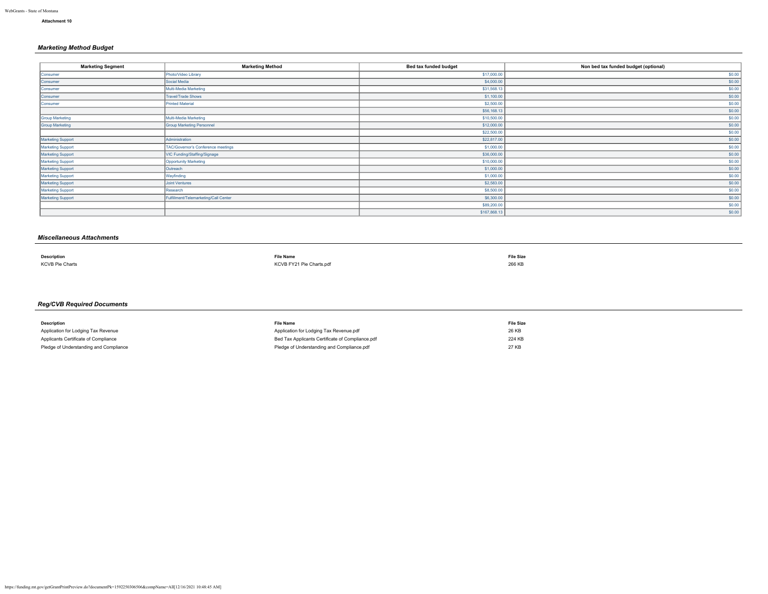# *Marketing Method Budget*

| <b>Marketing Segment</b> | <b>Marketing Method</b>               | Bed tax funded budget | Non bed tax funded budget (optional) |
|--------------------------|---------------------------------------|-----------------------|--------------------------------------|
| Consumer                 | Photo/Video Library                   | \$17,000.00           | \$0.00                               |
| Consumer                 | Social Media                          | \$4,000.00            | \$0.00                               |
| Consumer                 | Multi-Media Marketing                 | \$31,568.13           | \$0.00                               |
| Consumer                 | <b>Travel/Trade Shows</b>             | \$1,100.00            | \$0.00                               |
| Consumer                 | Printed Material                      | \$2,500.00            | \$0.00                               |
|                          |                                       | \$56,168.13           | \$0.00                               |
| <b>Group Marketing</b>   | Multi-Media Marketing                 | \$10,500.00           | \$0.00                               |
| <b>Group Marketing</b>   | <b>Group Marketing Personnel</b>      | \$12,000.00           | \$0.00                               |
|                          |                                       | \$22,500.00           | \$0.00                               |
| <b>Marketing Support</b> | Administration                        | \$22,817.00           | \$0.00                               |
| Marketing Support        | TAC/Governor's Conference meetings    | \$1,000.00            | \$0.00                               |
| Marketing Support        | VIC Funding/Staffing/Signage          | \$36,000.00           | \$0.00                               |
| Marketing Support        | Opportunity Marketing                 | \$10,000.00           | \$0.00                               |
| Marketing Support        | Outreach                              | \$1,000.00            | \$0.00                               |
| <b>Marketing Support</b> | Wayfinding                            | \$1,000.00            | \$0.00                               |
| Marketing Support        | Joint Ventures                        | \$2,583.00            | \$0.00                               |
| <b>Marketing Support</b> | Research                              | \$8,500.00            | \$0.00                               |
| Marketing Support        | Fulfillment/Telemarketing/Call Center | \$6,300.00            | \$0.00                               |
|                          |                                       | \$89,200.00           | \$0.00                               |
|                          |                                       | \$167,868.13          | \$0.00                               |

# *Miscellaneous Attachments*

| <b>Description</b>     | <b>File Name</b>         | <b>File Size</b> |
|------------------------|--------------------------|------------------|
| <b>KCVB Pie Charts</b> | KCVB FY21 Pie Charts.pdf | 266 KB           |

# *Reg/CVB Required Documents*

| <b>Description</b>                     | <b>File Name</b>                                 | <b>File Size</b> |
|----------------------------------------|--------------------------------------------------|------------------|
| Application for Lodging Tax Revenue    | Application for Lodging Tax Revenue.pdf          | 26 KB            |
| Applicants Certificate of Compliance   | Bed Tax Applicants Certificate of Compliance.pdf | 224 KB           |
| Pledge of Understanding and Compliance | Pledge of Understanding and Compliance.pdf       | 27 KB            |